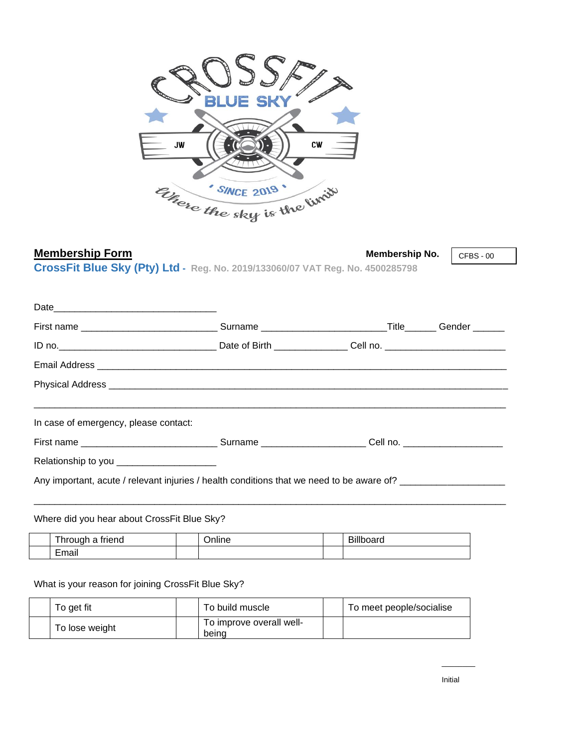

## **Membership Form**<br>
Membership No.

CFBS - 00

**CrossFit Blue Sky (Pty) Ltd - Reg. No. 2019/133060/07 VAT Reg. No. 4500285798**

| First name _________________________________Surname _____________________________Title________Gender _______ |  |  |
|--------------------------------------------------------------------------------------------------------------|--|--|
|                                                                                                              |  |  |
|                                                                                                              |  |  |
|                                                                                                              |  |  |
| In case of emergency, please contact:                                                                        |  |  |
|                                                                                                              |  |  |
| Relationship to you ________________________                                                                 |  |  |
| Any important, acute / relevant injuries / health conditions that we need to be aware of?                    |  |  |

### Where did you hear about CrossFit Blue Sky?

| -<br>triend<br>. hrough                            | $\cdots$<br>)nlıne | ---<br>$\sim$<br>ייוור<br>vualu - |
|----------------------------------------------------|--------------------|-----------------------------------|
| $\overline{\phantom{0}}$<br>. .<br>Email<br>______ |                    |                                   |

#### What is your reason for joining CrossFit Blue Sky?

| To get fit     | To build muscle                   | To meet people/socialise |
|----------------|-----------------------------------|--------------------------|
| To lose weight | To improve overall well-<br>beind |                          |

 $\overline{\phantom{a}}$  , where  $\overline{\phantom{a}}$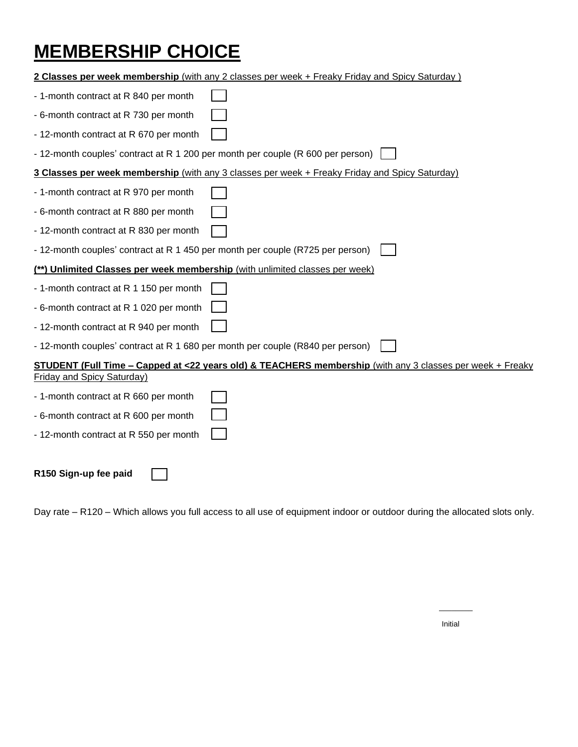# **MEMBERSHIP CHOICE**

| 2 Classes per week membership (with any 2 classes per week + Freaky Friday and Spicy Saturday)            |
|-----------------------------------------------------------------------------------------------------------|
| - 1-month contract at R 840 per month                                                                     |
| - 6-month contract at R 730 per month                                                                     |
| - 12-month contract at R 670 per month                                                                    |
| - 12-month couples' contract at R 1 200 per month per couple (R 600 per person)                           |
| 3 Classes per week membership (with any 3 classes per week + Freaky Friday and Spicy Saturday)            |
| - 1-month contract at R 970 per month                                                                     |
| - 6-month contract at R 880 per month                                                                     |
| - 12-month contract at R 830 per month                                                                    |
| - 12-month couples' contract at R 1 450 per month per couple (R725 per person)                            |
| (**) Unlimited Classes per week membership (with unlimited classes per week)                              |
| - 1-month contract at R 1 150 per month                                                                   |
| - 6-month contract at R 1 020 per month                                                                   |
| - 12-month contract at R 940 per month                                                                    |
| - 12-month couples' contract at R 1 680 per month per couple (R840 per person)                            |
| STUDENT (Full Time - Capped at <22 years old) & TEACHERS membership (with any 3 classes per week + Freaky |
| <b>Friday and Spicy Saturday)</b>                                                                         |
| - 1-month contract at R 660 per month                                                                     |
| - 6-month contract at R 600 per month                                                                     |
| - 12-month contract at R 550 per month                                                                    |
|                                                                                                           |
| R150 Sign-up fee paid                                                                                     |

Day rate – R120 – Which allows you full access to all use of equipment indoor or outdoor during the allocated slots only.

\_\_\_\_\_\_\_\_

Initial